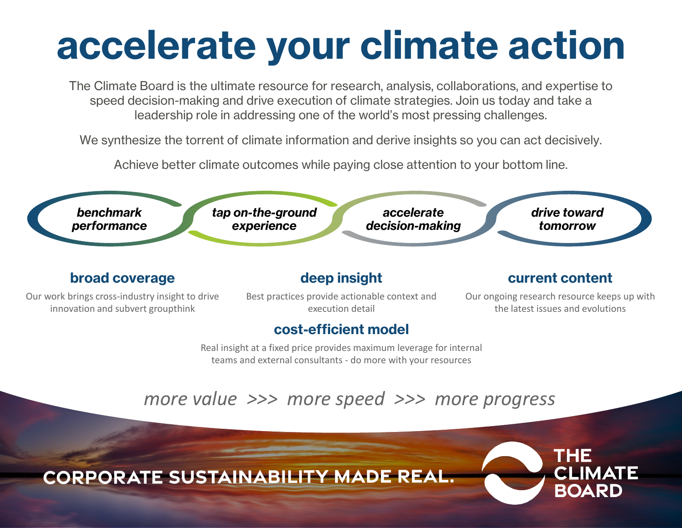# **accelerate your climate action**

The Climate Board is the ultimate resource for research, analysis, collaborations, and expertise to speed decision-making and drive execution of climate strategies. Join us today and take a leadership role in addressing one of the world's most pressing challenges.

We synthesize the torrent of climate information and derive insights so you can act decisively.

Achieve better climate outcomes while paying close attention to your bottom line.



THE

CI IMATE

ROARD

**CORPORATE SUSTAINABILITY MADE REAL.**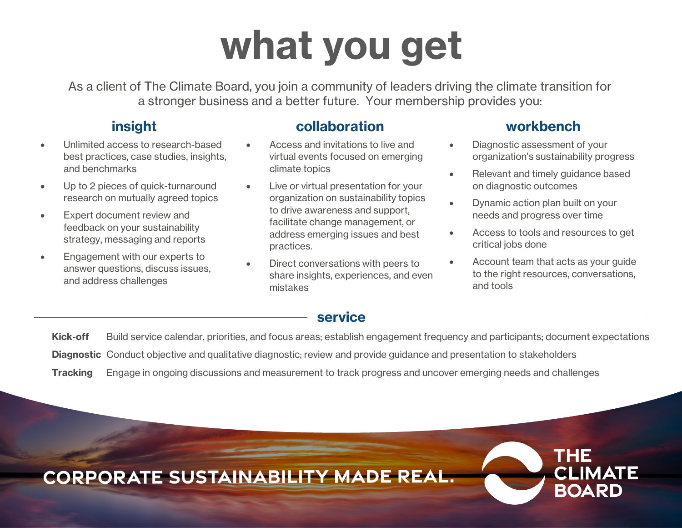# **what you get**

As a client of The Climate Board, you join a community of leaders driving the climate transition for a stronger business and a better future. Your membership provides you:

### **insight**

- Unlimited access to research-based best practices, case studies, insights, and benchmarks
- Up to 2 pieces of quick-turnaround research on mutually agreed topics
- Expert document review and feedback on your sustainability strategy, messaging and reports
- Engagement with our experts to answer questions, discuss issues, and address challenges

#### **collaboration**

- Access and invitations to live and virtual events focused on emerging climate topics
- Live or virtual presentation for your organization on sustainability topics to drive awareness and support, facilitate change management, or address emerging issues and best practices.
- Direct conversations with peers to share insights, experiences, and even mistakes

### **workbench**

- Diagnostic assessment of your organization's sustainability progress
- Relevant and timely guidance based on diagnostic outcomes
- Dynamic action plan built on your needs and progress over time
- Access to tools and resources to get critical jobs done
- Account team that acts as your guide to the right resources, conversations, and tools

THE

CI IMATE

ROARD

#### **service**

**Kick-off** Build service calendar, priorities, and focus areas; establish engagement frequency and participants; document expectations **Diagnostic** Conduct objective and qualitative diagnostic; review and provide guidance and presentation to stakeholders **Tracking** Engage in ongoing discussions and measurement to track progress and uncover emerging needs and challenges

**CORPORATE SUSTAINABILITY MADE REAL.**